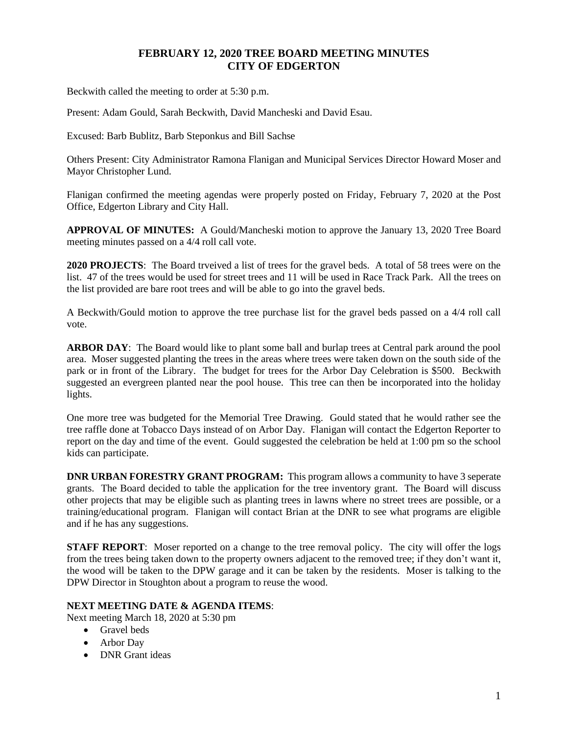## **FEBRUARY 12, 2020 TREE BOARD MEETING MINUTES CITY OF EDGERTON**

Beckwith called the meeting to order at 5:30 p.m.

Present: Adam Gould, Sarah Beckwith, David Mancheski and David Esau.

Excused: Barb Bublitz, Barb Steponkus and Bill Sachse

Others Present: City Administrator Ramona Flanigan and Municipal Services Director Howard Moser and Mayor Christopher Lund.

Flanigan confirmed the meeting agendas were properly posted on Friday, February 7, 2020 at the Post Office, Edgerton Library and City Hall.

**APPROVAL OF MINUTES:** A Gould/Mancheski motion to approve the January 13, 2020 Tree Board meeting minutes passed on a 4/4 roll call vote.

**2020 PROJECTS**: The Board trveived a list of trees for the gravel beds. A total of 58 trees were on the list. 47 of the trees would be used for street trees and 11 will be used in Race Track Park. All the trees on the list provided are bare root trees and will be able to go into the gravel beds.

A Beckwith/Gould motion to approve the tree purchase list for the gravel beds passed on a 4/4 roll call vote.

**ARBOR DAY**: The Board would like to plant some ball and burlap trees at Central park around the pool area. Moser suggested planting the trees in the areas where trees were taken down on the south side of the park or in front of the Library. The budget for trees for the Arbor Day Celebration is \$500. Beckwith suggested an evergreen planted near the pool house. This tree can then be incorporated into the holiday lights.

One more tree was budgeted for the Memorial Tree Drawing. Gould stated that he would rather see the tree raffle done at Tobacco Days instead of on Arbor Day. Flanigan will contact the Edgerton Reporter to report on the day and time of the event. Gould suggested the celebration be held at 1:00 pm so the school kids can participate.

**DNR URBAN FORESTRY GRANT PROGRAM:** This program allows a community to have 3 seperate grants. The Board decided to table the application for the tree inventory grant. The Board will discuss other projects that may be eligible such as planting trees in lawns where no street trees are possible, or a training/educational program. Flanigan will contact Brian at the DNR to see what programs are eligible and if he has any suggestions.

**STAFF REPORT:** Moser reported on a change to the tree removal policy. The city will offer the logs from the trees being taken down to the property owners adjacent to the removed tree; if they don't want it, the wood will be taken to the DPW garage and it can be taken by the residents. Moser is talking to the DPW Director in Stoughton about a program to reuse the wood.

## **NEXT MEETING DATE & AGENDA ITEMS**:

Next meeting March 18, 2020 at 5:30 pm

- Gravel beds
- Arbor Day
- DNR Grant ideas